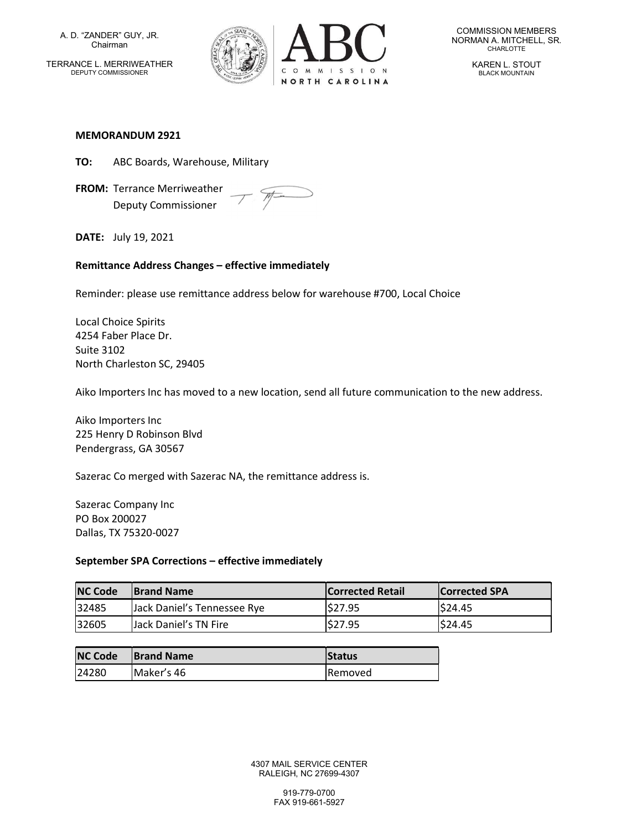A. D. "ZANDER" GUY, JR. Chairman TERRANCE L. MERRIWEATHER DEPUTY COMMISSIONER



COMMISSION MEMBERS NORMAN A. MITCHELL, SR. CHARLOTTE

> KAREN L. STOUT BLACK MOUNTAIN

#### MEMORANDUM 2921

- TO: ABC Boards, Warehouse, Military
- FROM: Terrance Merriweather Deputy Commissioner

 $\mathcal{P}$ 

DATE: July 19, 2021

### Remittance Address Changes – effective immediately

Reminder: please use remittance address below for warehouse #700, Local Choice

Local Choice Spirits 4254 Faber Place Dr. Suite 3102 North Charleston SC, 29405

Aiko Importers Inc has moved to a new location, send all future communication to the new address.

Aiko Importers Inc 225 Henry D Robinson Blvd Pendergrass, GA 30567

Sazerac Co merged with Sazerac NA, the remittance address is.

Sazerac Company Inc PO Box 200027 Dallas, TX 75320-0027

### September SPA Corrections – effective immediately

| <b>NC Code</b> | <b>IBrand Name</b>          | <b>Corrected Retail</b> | <b>Corrected SPA</b> |
|----------------|-----------------------------|-------------------------|----------------------|
| 32485          | Lack Daniel's Tennessee Rye | \$27.95                 | \$24.45              |
| 32605          | Jack Daniel's TN Fire       | \$27.95                 | \$24.45              |

| <b>NC Code</b> | <b>Brand Name</b> | Status          |
|----------------|-------------------|-----------------|
| 24280          | Maker's 46        | <b>IRemoved</b> |

4307 MAIL SERVICE CENTER RALEIGH, NC 27699-4307